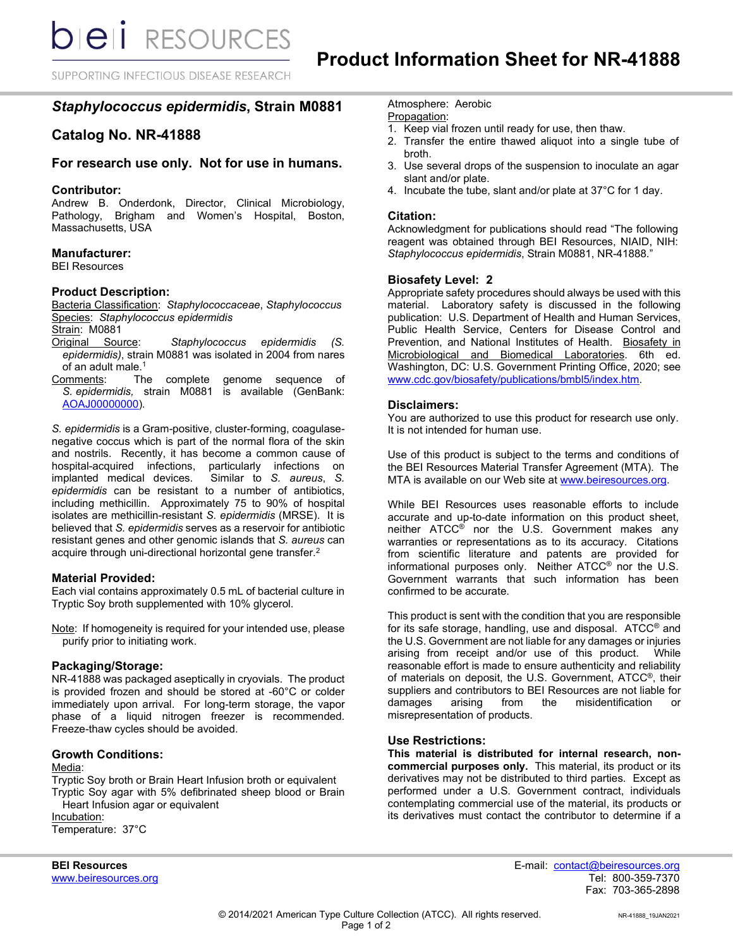SUPPORTING INFECTIOUS DISEASE RESEARCH

# *Staphylococcus epidermidis***, Strain M0881**

# **Catalog No. NR-41888**

## **For research use only. Not for use in humans.**

#### **Contributor:**

Andrew B. Onderdonk, Director, Clinical Microbiology, Pathology, Brigham and Women's Hospital, Boston, Massachusetts, USA

## **Manufacturer:**

BEI Resources

### **Product Description:**

Bacteria Classification: *Staphylococcaceae*, *Staphylococcus* Species: *Staphylococcus epidermidis*

Strain: M0881<br>Original Source: Staphylococcus epidermidis *(S. epidermidis)*, strain M0881 was isolated in 2004 from nares of an adult male.<sup>1</sup>

Comments: The complete genome sequence of *S. epidermidis,* strain M0881 is available (GenBank: [AOAJ00000000\)](http://www.ncbi.nlm.nih.gov/nuccore/AOAJ00000000/).

*S. epidermidis* is a Gram-positive, cluster-forming, coagulasenegative coccus which is part of the normal flora of the skin and nostrils. Recently, it has become a common cause of hospital-acquired infections, particularly infections on implanted medical devices. Similar to S. aureus, S. implanted medical devices. *epidermidis* can be resistant to a number of antibiotics, including methicillin. Approximately 75 to 90% of hospital isolates are methicillin-resistant *S. epidermidis* (MRSE). It is believed that *S. epidermidis* serves as a reservoir for antibiotic resistant genes and other genomic islands that *S. aureus* can acquire through uni-directional horizontal gene transfer.2

#### **Material Provided:**

Each vial contains approximately 0.5 mL of bacterial culture in Tryptic Soy broth supplemented with 10% glycerol.

Note: If homogeneity is required for your intended use, please purify prior to initiating work.

#### **Packaging/Storage:**

NR-41888 was packaged aseptically in cryovials. The product is provided frozen and should be stored at -60°C or colder immediately upon arrival. For long-term storage, the vapor phase of a liquid nitrogen freezer is recommended. Freeze-thaw cycles should be avoided.

#### **Growth Conditions:**

#### Media:

Tryptic Soy broth or Brain Heart Infusion broth or equivalent Tryptic Soy agar with 5% defibrinated sheep blood or Brain Heart Infusion agar or equivalent

Incubation: Temperature: 37°C

www.beiresources.org

Atmosphere: Aerobic

## Propagation:

- 1. Keep vial frozen until ready for use, then thaw.
- 2. Transfer the entire thawed aliquot into a single tube of broth.
- 3. Use several drops of the suspension to inoculate an agar slant and/or plate.
- 4. Incubate the tube, slant and/or plate at 37°C for 1 day.

#### **Citation:**

Acknowledgment for publications should read "The following reagent was obtained through BEI Resources, NIAID, NIH: *Staphylococcus epidermidis*, Strain M0881, NR-41888."

### **Biosafety Level: 2**

Appropriate safety procedures should always be used with this material. Laboratory safety is discussed in the following publication: U.S. Department of Health and Human Services, Public Health Service, Centers for Disease Control and Prevention, and National Institutes of Health. Biosafety in Microbiological and Biomedical Laboratories. 6th ed. Washington, DC: U.S. Government Printing Office, 2020; see [www.cdc.gov/biosafety/publications/bmbl5/index.htm.](http://www.cdc.gov/biosafety/publications/bmbl5/index.htm)

#### **Disclaimers:**

You are authorized to use this product for research use only. It is not intended for human use.

Use of this product is subject to the terms and conditions of the BEI Resources Material Transfer Agreement (MTA). The MTA is available on our Web site at [www.beiresources.org.](http://www.beiresources.org/)

While BEI Resources uses reasonable efforts to include accurate and up-to-date information on this product sheet, neither ATCC<sup>®</sup> nor the U.S. Government makes any warranties or representations as to its accuracy. Citations from scientific literature and patents are provided for informational purposes only. Neither ATCC® nor the U.S. Government warrants that such information has been confirmed to be accurate.

This product is sent with the condition that you are responsible for its safe storage, handling, use and disposal. ATCC® and the U.S. Government are not liable for any damages or injuries arising from receipt and/or use of this product. While reasonable effort is made to ensure authenticity and reliability of materials on deposit, the U.S. Government, ATCC®, their suppliers and contributors to BEI Resources are not liable for<br>damages arising from the misidentification or misidentification or misrepresentation of products.

#### **Use Restrictions:**

**This material is distributed for internal research, noncommercial purposes only.** This material, its product or its derivatives may not be distributed to third parties. Except as performed under a U.S. Government contract, individuals contemplating commercial use of the material, its products or its derivatives must contact the contributor to determine if a